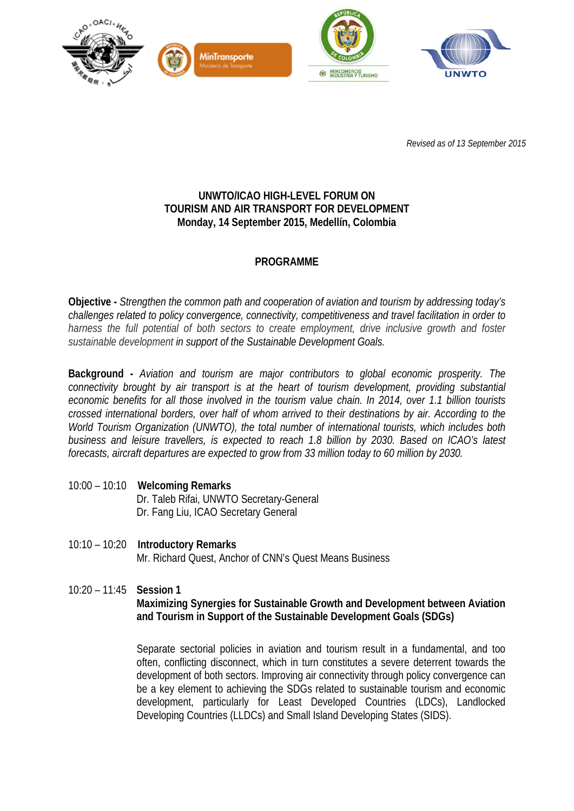

*Revised as of 13 September 2015*

## **UNWTO/ICAO HIGH-LEVEL FORUM ON TOURISM AND AIR TRANSPORT FOR DEVELOPMENT Monday, 14 September 2015, Medellín, Colombia**

# **PROGRAMME**

**Objective -** *Strengthen the common path and cooperation of aviation and tourism by addressing today's challenges related to policy convergence, connectivity, competitiveness and travel facilitation in order to harness the full potential of both sectors to create employment, drive inclusive growth and foster sustainable development in support of the Sustainable Development Goals.*

**Background -** *Aviation and tourism are major contributors to global economic prosperity. The connectivity brought by air transport is at the heart of tourism development, providing substantial economic benefits for all those involved in the tourism value chain. In 2014, over 1.1 billion tourists crossed international borders, over half of whom arrived to their destinations by air. According to the World Tourism Organization (UNWTO), the total number of international tourists, which includes both business and leisure travellers, is expected to reach 1.8 billion by 2030. Based on ICAO's latest forecasts, aircraft departures are expected to grow from 33 million today to 60 million by 2030.* 

- 10:00 10:10 **Welcoming Remarks** Dr. Taleb Rifai, UNWTO Secretary-General Dr. Fang Liu, ICAO Secretary General
- 10:10 10:20 **Introductory Remarks** Mr. Richard Quest, Anchor of CNN's Quest Means Business
- 10:20 11:45 **Session 1 Maximizing Synergies for Sustainable Growth and Development between Aviation and Tourism in Support of the Sustainable Development Goals (SDGs)**

Separate sectorial policies in aviation and tourism result in a fundamental, and too often, conflicting disconnect, which in turn constitutes a severe deterrent towards the development of both sectors. Improving air connectivity through policy convergence can be a key element to achieving the SDGs related to sustainable tourism and economic development, particularly for Least Developed Countries (LDCs), Landlocked Developing Countries (LLDCs) and Small Island Developing States (SIDS).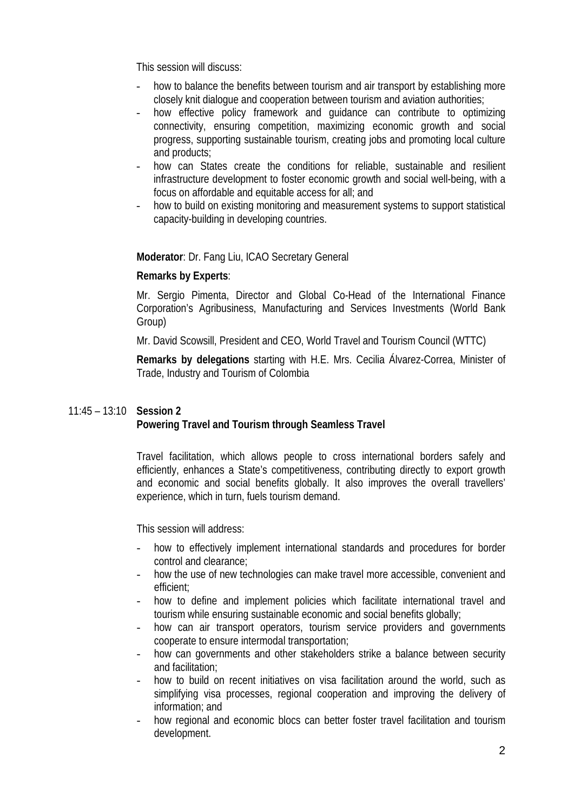This session will discuss:

- how to balance the benefits between tourism and air transport by establishing more closely knit dialogue and cooperation between tourism and aviation authorities;
- how effective policy framework and quidance can contribute to optimizing connectivity, ensuring competition, maximizing economic growth and social progress, supporting sustainable tourism, creating jobs and promoting local culture and products;
- how can States create the conditions for reliable, sustainable and resilient infrastructure development to foster economic growth and social well-being, with a focus on affordable and equitable access for all; and
- how to build on existing monitoring and measurement systems to support statistical capacity-building in developing countries.

**Moderator**: Dr. Fang Liu, ICAO Secretary General

#### **Remarks by Experts**:

Mr. Sergio Pimenta, Director and Global Co-Head of the International Finance Corporation's Agribusiness, Manufacturing and Services Investments (World Bank Group)

Mr. David Scowsill, President and CEO, World Travel and Tourism Council (WTTC)

**Remarks by delegations** starting with H.E. Mrs. Cecilia Álvarez-Correa, Minister of Trade, Industry and Tourism of Colombia

### 11:45 – 13:10 **Session 2 Powering Travel and Tourism through Seamless Travel**

Travel facilitation, which allows people to cross international borders safely and efficiently, enhances a State's competitiveness, contributing directly to export growth and economic and social benefits globally. It also improves the overall travellers' experience, which in turn, fuels tourism demand.

This session will address:

- how to effectively implement international standards and procedures for border control and clearance;
- how the use of new technologies can make travel more accessible, convenient and efficient;
- how to define and implement policies which facilitate international travel and tourism while ensuring sustainable economic and social benefits globally;
- how can air transport operators, tourism service providers and governments cooperate to ensure intermodal transportation;
- how can governments and other stakeholders strike a balance between security and facilitation;
- how to build on recent initiatives on visa facilitation around the world, such as simplifying visa processes, regional cooperation and improving the delivery of information; and
- how regional and economic blocs can better foster travel facilitation and tourism development.